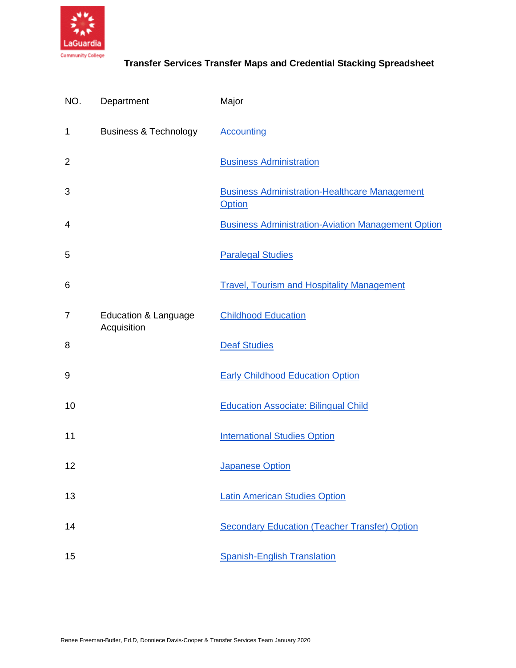

| NO.            | Department                                     | Major                                                          |
|----------------|------------------------------------------------|----------------------------------------------------------------|
| 1              | <b>Business &amp; Technology</b>               | <b>Accounting</b>                                              |
| $\overline{2}$ |                                                | <b>Business Administration</b>                                 |
| 3              |                                                | <b>Business Administration-Healthcare Management</b><br>Option |
| 4              |                                                | <b>Business Administration-Aviation Management Option</b>      |
| 5              |                                                | <b>Paralegal Studies</b>                                       |
| 6              |                                                | <b>Travel, Tourism and Hospitality Management</b>              |
| 7              | <b>Education &amp; Language</b><br>Acquisition | <b>Childhood Education</b>                                     |
| 8              |                                                | <b>Deaf Studies</b>                                            |
| 9              |                                                | <b>Early Childhood Education Option</b>                        |
| 10             |                                                | <b>Education Associate: Bilingual Child</b>                    |
| 11             |                                                | <b>International Studies Option</b>                            |
| 12             |                                                | <b>Japanese Option</b>                                         |
| 13             |                                                | <b>Latin American Studies Option</b>                           |
| 14             |                                                | <b>Secondary Education (Teacher Transfer) Option</b>           |
| 15             |                                                | <b>Spanish-English Translation</b>                             |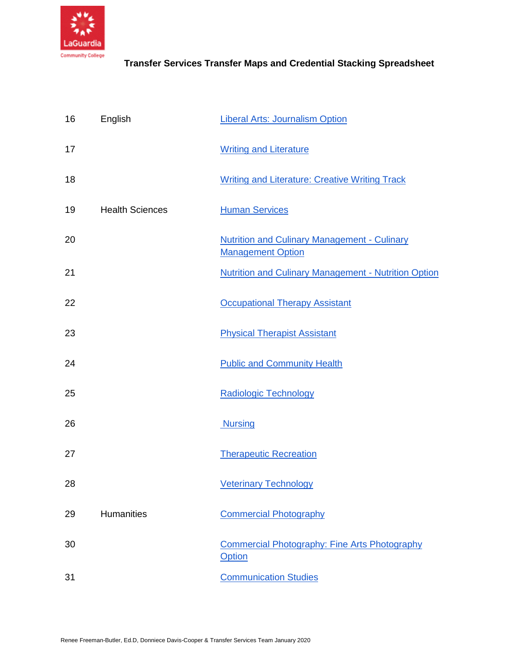

| 16 | English                | <b>Liberal Arts: Journalism Option</b>                                          |
|----|------------------------|---------------------------------------------------------------------------------|
| 17 |                        | <b>Writing and Literature</b>                                                   |
| 18 |                        | <b>Writing and Literature: Creative Writing Track</b>                           |
| 19 | <b>Health Sciences</b> | <b>Human Services</b>                                                           |
| 20 |                        | <b>Nutrition and Culinary Management - Culinary</b><br><b>Management Option</b> |
| 21 |                        | <b>Nutrition and Culinary Management - Nutrition Option</b>                     |
| 22 |                        | <b>Occupational Therapy Assistant</b>                                           |
| 23 |                        | <b>Physical Therapist Assistant</b>                                             |
| 24 |                        | <b>Public and Community Health</b>                                              |
| 25 |                        | <b>Radiologic Technology</b>                                                    |
| 26 |                        | <b>Nursing</b>                                                                  |
| 27 |                        | <b>Therapeutic Recreation</b>                                                   |
| 28 |                        | <b>Veterinary Technology</b>                                                    |
| 29 | <b>Humanities</b>      | <b>Commercial Photography</b>                                                   |
| 30 |                        | <b>Commercial Photography: Fine Arts Photography</b><br>Option                  |
| 31 |                        | <b>Communication Studies</b>                                                    |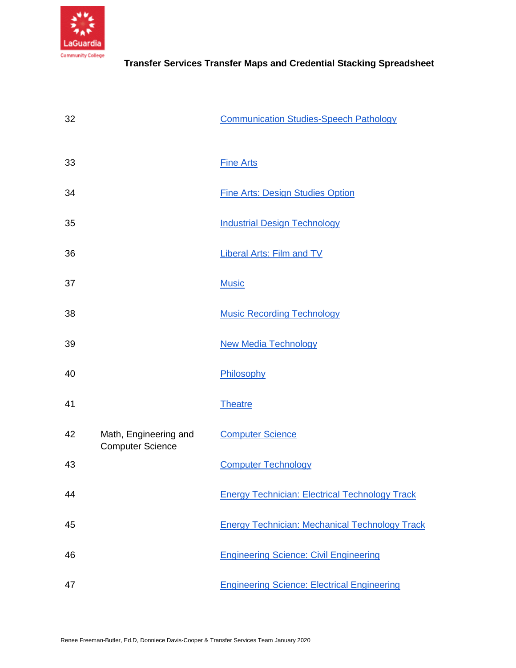

| 32 |                                                  | <b>Communication Studies-Speech Pathology</b>         |
|----|--------------------------------------------------|-------------------------------------------------------|
| 33 |                                                  | <b>Fine Arts</b>                                      |
| 34 |                                                  | <b>Fine Arts: Design Studies Option</b>               |
| 35 |                                                  | <b>Industrial Design Technology</b>                   |
| 36 |                                                  | <b>Liberal Arts: Film and TV</b>                      |
| 37 |                                                  | <b>Music</b>                                          |
| 38 |                                                  | <b>Music Recording Technology</b>                     |
| 39 |                                                  | <b>New Media Technology</b>                           |
| 40 |                                                  | Philosophy                                            |
| 41 |                                                  | <b>Theatre</b>                                        |
| 42 | Math, Engineering and<br><b>Computer Science</b> | <b>Computer Science</b>                               |
| 43 |                                                  | <b>Computer Technology</b>                            |
| 44 |                                                  | <b>Energy Technician: Electrical Technology Track</b> |
| 45 |                                                  | <b>Energy Technician: Mechanical Technology Track</b> |
| 46 |                                                  | <b>Engineering Science: Civil Engineering</b>         |
| 47 |                                                  | <b>Engineering Science: Electrical Engineering</b>    |